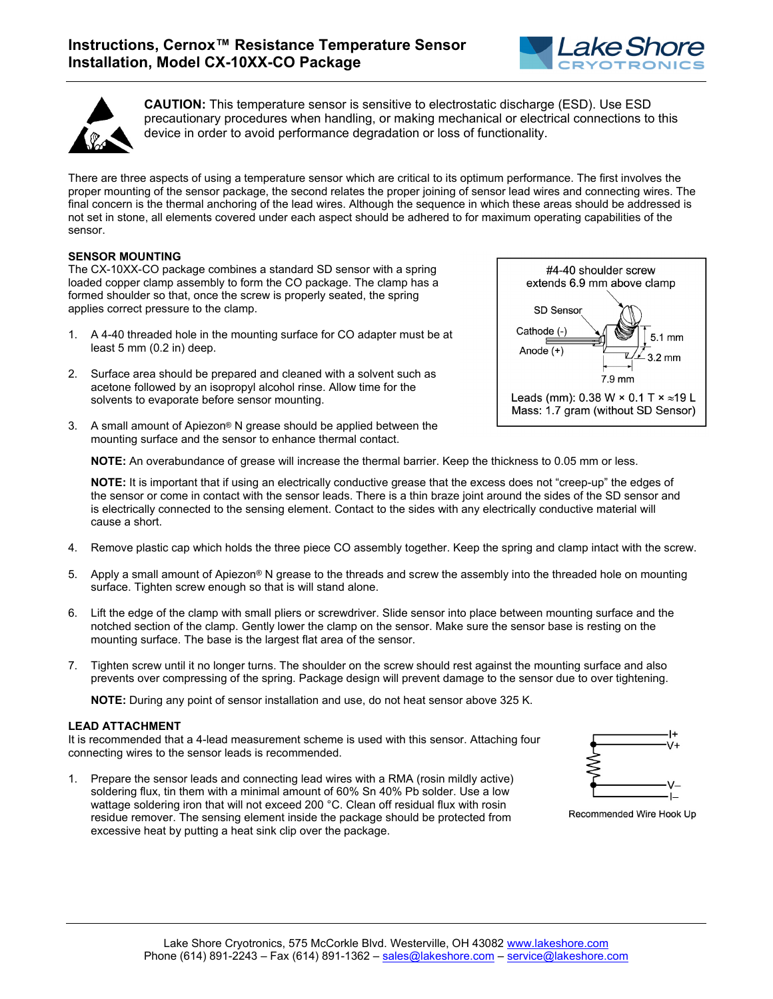

#4-40 shoulder screw extends 6.9 mm above clamp



**CAUTION:** This temperature sensor is sensitive to electrostatic discharge (ESD). Use ESD precautionary procedures when handling, or making mechanical or electrical connections to this device in order to avoid performance degradation or loss of functionality.

There are three aspects of using a temperature sensor which are critical to its optimum performance. The first involves the proper mounting of the sensor package, the second relates the proper joining of sensor lead wires and connecting wires. The final concern is the thermal anchoring of the lead wires. Although the sequence in which these areas should be addressed is not set in stone, all elements covered under each aspect should be adhered to for maximum operating capabilities of the sensor.

## **SENSOR MOUNTING**

The CX-10XX-CO package combines a standard SD sensor with a spring loaded copper clamp assembly to form the CO package. The clamp has a formed shoulder so that, once the screw is properly seated, the spring applies correct pressure to the clamp.

- 1. A 4-40 threaded hole in the mounting surface for CO adapter must be at least 5 mm (0.2 in) deep.
- 2. Surface area should be prepared and cleaned with a solvent such as acetone followed by an isopropyl alcohol rinse. Allow time for the solvents to evaporate before sensor mounting.
- 3. A small amount of Apiezon® N grease should be applied between the mounting surface and the sensor to enhance thermal contact.



**NOTE:** It is important that if using an electrically conductive grease that the excess does not "creep-up" the edges of the sensor or come in contact with the sensor leads. There is a thin braze joint around the sides of the SD sensor and is electrically connected to the sensing element. Contact to the sides with any electrically conductive material will cause a short.

- 4. Remove plastic cap which holds the three piece CO assembly together. Keep the spring and clamp intact with the screw.
- 5. Apply a small amount of Apiezon® N grease to the threads and screw the assembly into the threaded hole on mounting surface. Tighten screw enough so that is will stand alone.
- 6. Lift the edge of the clamp with small pliers or screwdriver. Slide sensor into place between mounting surface and the notched section of the clamp. Gently lower the clamp on the sensor. Make sure the sensor base is resting on the mounting surface. The base is the largest flat area of the sensor.
- 7. Tighten screw until it no longer turns. The shoulder on the screw should rest against the mounting surface and also prevents over compressing of the spring. Package design will prevent damage to the sensor due to over tightening.

**NOTE:** During any point of sensor installation and use, do not heat sensor above 325 K.

## **LEAD ATTACHMENT**

It is recommended that a 4-lead measurement scheme is used with this sensor. Attaching four connecting wires to the sensor leads is recommended.

1. Prepare the sensor leads and connecting lead wires with a RMA (rosin mildly active) soldering flux, tin them with a minimal amount of 60% Sn 40% Pb solder. Use a low wattage soldering iron that will not exceed 200 °C. Clean off residual flux with rosin residue remover. The sensing element inside the package should be protected from excessive heat by putting a heat sink clip over the package.



Recommended Wire Hook Up